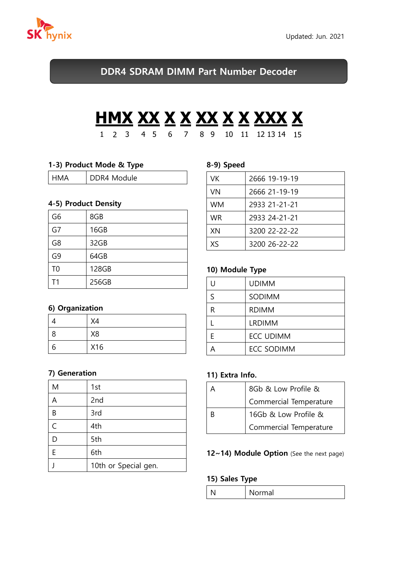

DDR4 SDRAM DIMM Part Number Decoder

# **HMX XX X X XX X X XXX X** 1 2 3 4 5 6 7 8 9 10 11 12 13 14 15

## 1-3) Product Mode & Type

| HMA<br>$\mathbf{I}$ | DDR4 Module |
|---------------------|-------------|
|---------------------|-------------|

## 4-5) Product Density

| G <sub>6</sub> | 8GB   |  |
|----------------|-------|--|
| G7             | 16GB  |  |
| G8             | 32GB  |  |
| G9             | 64GB  |  |
| T <sub>0</sub> | 128GB |  |
| T <sub>1</sub> | 256GB |  |

# 6) Organization

|   | X4             |
|---|----------------|
| 8 | X <sub>8</sub> |
| n | X16            |

## 7) Generation

| M | 1st                  |  |
|---|----------------------|--|
| A | 2nd                  |  |
| B | 3rd                  |  |
| C | 4th                  |  |
|   | 5th                  |  |
| E | 6th                  |  |
|   | 10th or Special gen. |  |

#### 8-9) Speed

| VK        | 2666 19-19-19 |
|-----------|---------------|
| VN        | 2666 21-19-19 |
| <b>WM</b> | 2933 21-21-21 |
| <b>WR</b> | 2933 24-21-21 |
| XN        | 3200 22-22-22 |
| Xς        | 3200 26-22-22 |

# 10) Module Type

| U | <b>UDIMM</b>      |  |
|---|-------------------|--|
| S | SODIMM            |  |
| R | <b>RDIMM</b>      |  |
|   | <b>LRDIMM</b>     |  |
| F | <b>ECC UDIMM</b>  |  |
| Д | <b>ECC SODIMM</b> |  |

## 11) Extra Info.

| 8Gb & Low Profile &    |  |
|------------------------|--|
| Commercial Temperature |  |
| 16Gb & Low Profile &   |  |
| Commercial Temperature |  |

#### 12~14) Module Option (See the next page)

#### 15) Sales Type

| วrmal |
|-------|
|       |